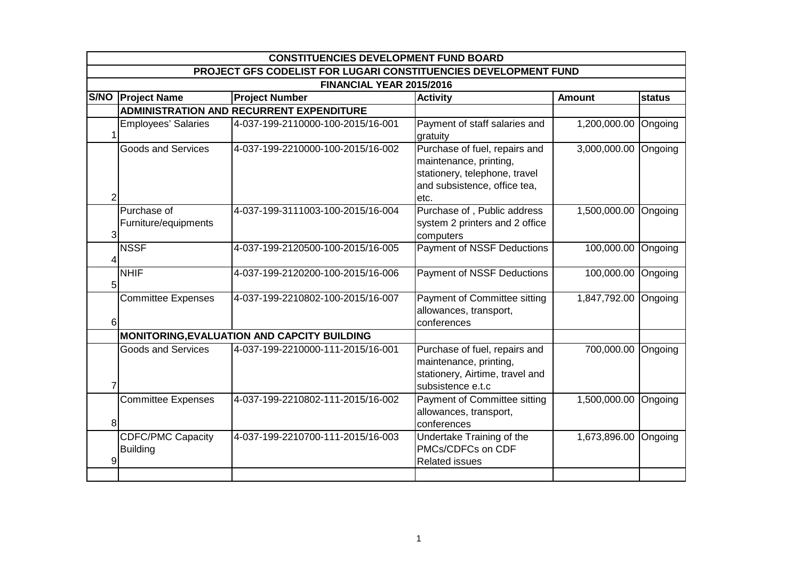|   | <b>CONSTITUENCIES DEVELOPMENT FUND BOARD</b>                    |                                                 |                                                                                                                                  |                      |               |  |  |  |  |
|---|-----------------------------------------------------------------|-------------------------------------------------|----------------------------------------------------------------------------------------------------------------------------------|----------------------|---------------|--|--|--|--|
|   | PROJECT GFS CODELIST FOR LUGARI CONSTITUENCIES DEVELOPMENT FUND |                                                 |                                                                                                                                  |                      |               |  |  |  |  |
|   | FINANCIAL YEAR 2015/2016                                        |                                                 |                                                                                                                                  |                      |               |  |  |  |  |
|   | S/NO   Project Name                                             | <b>Project Number</b>                           | <b>Activity</b>                                                                                                                  | <b>Amount</b>        | <b>status</b> |  |  |  |  |
|   |                                                                 | <b>ADMINISTRATION AND RECURRENT EXPENDITURE</b> |                                                                                                                                  |                      |               |  |  |  |  |
|   | <b>Employees' Salaries</b>                                      | 4-037-199-2110000-100-2015/16-001               | Payment of staff salaries and<br>gratuity                                                                                        | 1,200,000.00         | Ongoing       |  |  |  |  |
| 2 | <b>Goods and Services</b>                                       | 4-037-199-2210000-100-2015/16-002               | Purchase of fuel, repairs and<br>maintenance, printing,<br>stationery, telephone, travel<br>and subsistence, office tea,<br>etc. | 3,000,000.00 Ongoing |               |  |  |  |  |
| 3 | Purchase of<br>Furniture/equipments                             | 4-037-199-3111003-100-2015/16-004               | Purchase of, Public address<br>system 2 printers and 2 office<br>computers                                                       | 1,500,000.00         | Ongoing       |  |  |  |  |
| 4 | <b>NSSF</b>                                                     | 4-037-199-2120500-100-2015/16-005               | Payment of NSSF Deductions                                                                                                       | 100,000.00           | Ongoing       |  |  |  |  |
| 5 | <b>NHIF</b>                                                     | 4-037-199-2120200-100-2015/16-006               | Payment of NSSF Deductions                                                                                                       | 100,000.00 Ongoing   |               |  |  |  |  |
| 6 | <b>Committee Expenses</b>                                       | 4-037-199-2210802-100-2015/16-007               | Payment of Committee sitting<br>allowances, transport,<br>conferences                                                            | 1,847,792.00 Ongoing |               |  |  |  |  |
|   |                                                                 | MONITORING, EVALUATION AND CAPCITY BUILDING     |                                                                                                                                  |                      |               |  |  |  |  |
| 7 | <b>Goods and Services</b>                                       | 4-037-199-2210000-111-2015/16-001               | Purchase of fuel, repairs and<br>maintenance, printing,<br>stationery, Airtime, travel and<br>subsistence e.t.c                  | 700,000.00           | Ongoing       |  |  |  |  |
| 8 | <b>Committee Expenses</b>                                       | 4-037-199-2210802-111-2015/16-002               | Payment of Committee sitting<br>allowances, transport,<br>conferences                                                            | 1,500,000.00         | Ongoing       |  |  |  |  |
| 9 | <b>CDFC/PMC Capacity</b><br><b>Building</b>                     | 4-037-199-2210700-111-2015/16-003               | Undertake Training of the<br>PMCs/CDFCs on CDF<br><b>Related issues</b>                                                          | 1,673,896.00         | Ongoing       |  |  |  |  |
|   |                                                                 |                                                 |                                                                                                                                  |                      |               |  |  |  |  |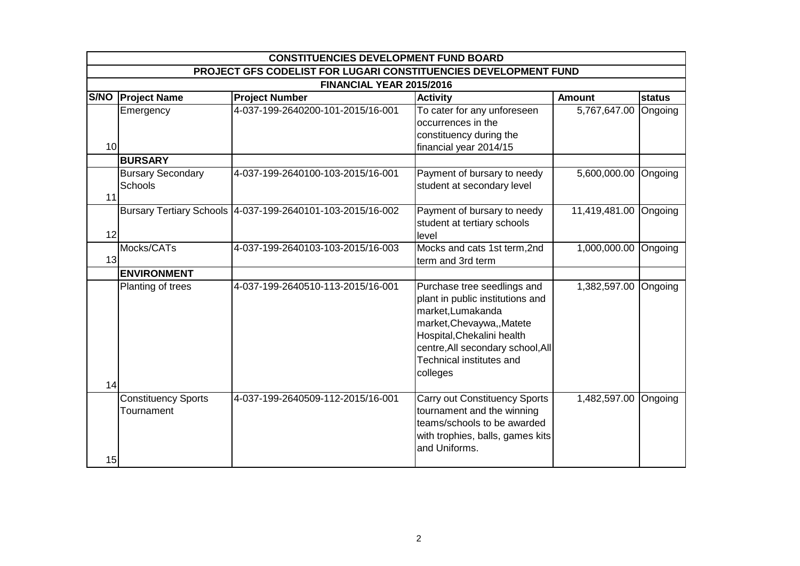|                 | <b>CONSTITUENCIES DEVELOPMENT FUND BOARD</b>                    |                                                            |                                                                                                                                                                                                                               |                       |         |  |  |  |  |
|-----------------|-----------------------------------------------------------------|------------------------------------------------------------|-------------------------------------------------------------------------------------------------------------------------------------------------------------------------------------------------------------------------------|-----------------------|---------|--|--|--|--|
|                 | PROJECT GFS CODELIST FOR LUGARI CONSTITUENCIES DEVELOPMENT FUND |                                                            |                                                                                                                                                                                                                               |                       |         |  |  |  |  |
|                 | FINANCIAL YEAR 2015/2016                                        |                                                            |                                                                                                                                                                                                                               |                       |         |  |  |  |  |
|                 | S/NO   Project Name                                             | <b>Project Number</b>                                      | <b>Activity</b>                                                                                                                                                                                                               | <b>Amount</b>         | status  |  |  |  |  |
| 10 <sup>1</sup> | Emergency                                                       | 4-037-199-2640200-101-2015/16-001                          | To cater for any unforeseen<br>occurrences in the<br>constituency during the<br>financial year 2014/15                                                                                                                        | 5,767,647.00          | Ongoing |  |  |  |  |
|                 | <b>BURSARY</b>                                                  |                                                            |                                                                                                                                                                                                                               |                       |         |  |  |  |  |
| 11              | <b>Bursary Secondary</b><br>Schools                             | 4-037-199-2640100-103-2015/16-001                          | Payment of bursary to needy<br>student at secondary level                                                                                                                                                                     | 5,600,000.00 Ongoing  |         |  |  |  |  |
| 12              |                                                                 | Bursary Tertiary Schools 4-037-199-2640101-103-2015/16-002 | Payment of bursary to needy<br>student at tertiary schools<br>level                                                                                                                                                           | 11,419,481.00 Ongoing |         |  |  |  |  |
| 13              | Mocks/CATs                                                      | 4-037-199-2640103-103-2015/16-003                          | Mocks and cats 1st term, 2nd<br>term and 3rd term                                                                                                                                                                             | 1,000,000.00          | Ongoing |  |  |  |  |
|                 | <b>ENVIRONMENT</b>                                              |                                                            |                                                                                                                                                                                                                               |                       |         |  |  |  |  |
| 14              | Planting of trees                                               | 4-037-199-2640510-113-2015/16-001                          | Purchase tree seedlings and<br>plant in public institutions and<br>market, Lumakanda<br>market, Chevaywa, , Matete<br>Hospital, Chekalini health<br>centre, All secondary school, All<br>Technical institutes and<br>colleges | 1,382,597.00          | Ongoing |  |  |  |  |
| 15              | <b>Constituency Sports</b><br>Tournament                        | 4-037-199-2640509-112-2015/16-001                          | <b>Carry out Constituency Sports</b><br>tournament and the winning<br>teams/schools to be awarded<br>with trophies, balls, games kits<br>and Uniforms.                                                                        | 1,482,597.00          | Ongoing |  |  |  |  |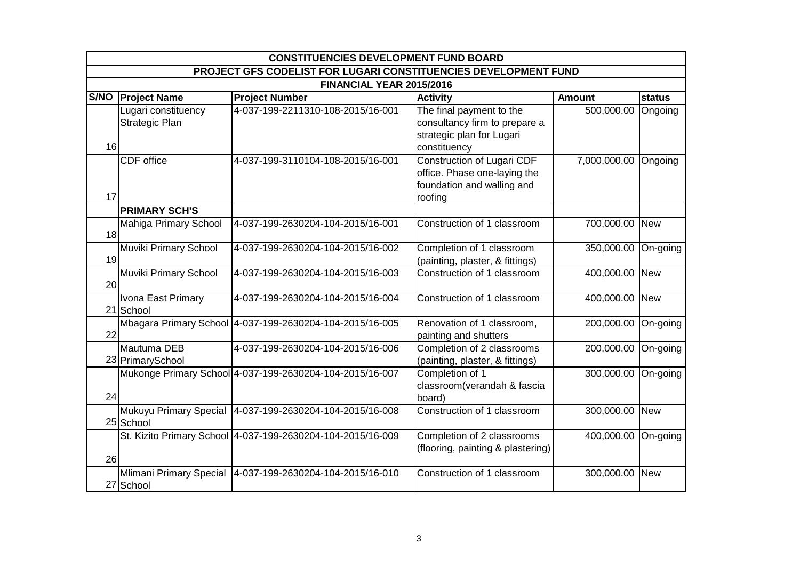|    | <b>CONSTITUENCIES DEVELOPMENT FUND BOARD</b>                    |                                                             |                                                                                                            |                      |          |  |  |  |
|----|-----------------------------------------------------------------|-------------------------------------------------------------|------------------------------------------------------------------------------------------------------------|----------------------|----------|--|--|--|
|    | PROJECT GFS CODELIST FOR LUGARI CONSTITUENCIES DEVELOPMENT FUND |                                                             |                                                                                                            |                      |          |  |  |  |
|    |                                                                 | FINANCIAL YEAR 2015/2016                                    |                                                                                                            |                      |          |  |  |  |
|    | S/NO   Project Name                                             | <b>Project Number</b>                                       | <b>Activity</b>                                                                                            | <b>Amount</b>        | status   |  |  |  |
| 16 | Lugari constituency<br>Strategic Plan                           | 4-037-199-2211310-108-2015/16-001                           | The final payment to the<br>consultancy firm to prepare a<br>strategic plan for Lugari<br>constituency     | 500,000.00           | Ongoing  |  |  |  |
| 17 | CDF office                                                      | 4-037-199-3110104-108-2015/16-001                           | <b>Construction of Lugari CDF</b><br>office. Phase one-laying the<br>foundation and walling and<br>roofing | 7,000,000.00 Ongoing |          |  |  |  |
|    | <b>PRIMARY SCH'S</b>                                            |                                                             |                                                                                                            |                      |          |  |  |  |
| 18 | Mahiga Primary School                                           | 4-037-199-2630204-104-2015/16-001                           | Construction of 1 classroom                                                                                | 700,000.00 New       |          |  |  |  |
| 19 | Muviki Primary School                                           | 4-037-199-2630204-104-2015/16-002                           | Completion of 1 classroom<br>(painting, plaster, & fittings)                                               | 350,000.00 On-going  |          |  |  |  |
| 20 | Muviki Primary School                                           | 4-037-199-2630204-104-2015/16-003                           | Construction of 1 classroom                                                                                | 400,000.00 New       |          |  |  |  |
|    | Ivona East Primary<br>21 School                                 | 4-037-199-2630204-104-2015/16-004                           | Construction of 1 classroom                                                                                | 400,000.00 New       |          |  |  |  |
| 22 |                                                                 | Mbagara Primary School 4-037-199-2630204-104-2015/16-005    | Renovation of 1 classroom,<br>painting and shutters                                                        | 200,000.00           | On-going |  |  |  |
|    | Mautuma DEB<br>23 Primary School                                | 4-037-199-2630204-104-2015/16-006                           | Completion of 2 classrooms<br>(painting, plaster, & fittings)                                              | 200,000.00           | On-going |  |  |  |
| 24 |                                                                 | Mukonge Primary School 4-037-199-2630204-104-2015/16-007    | Completion of 1<br>classroom(verandah & fascia<br>board)                                                   | 300,000.00 On-going  |          |  |  |  |
|    | 25 School                                                       | Mukuyu Primary Special 4-037-199-2630204-104-2015/16-008    | Construction of 1 classroom                                                                                | 300,000.00 New       |          |  |  |  |
| 26 |                                                                 | St. Kizito Primary School 4-037-199-2630204-104-2015/16-009 | Completion of 2 classrooms<br>(flooring, painting & plastering)                                            | 400,000.00           | On-going |  |  |  |
|    | Mlimani Primary Special<br>27 School                            | 4-037-199-2630204-104-2015/16-010                           | Construction of 1 classroom                                                                                | 300,000.00 New       |          |  |  |  |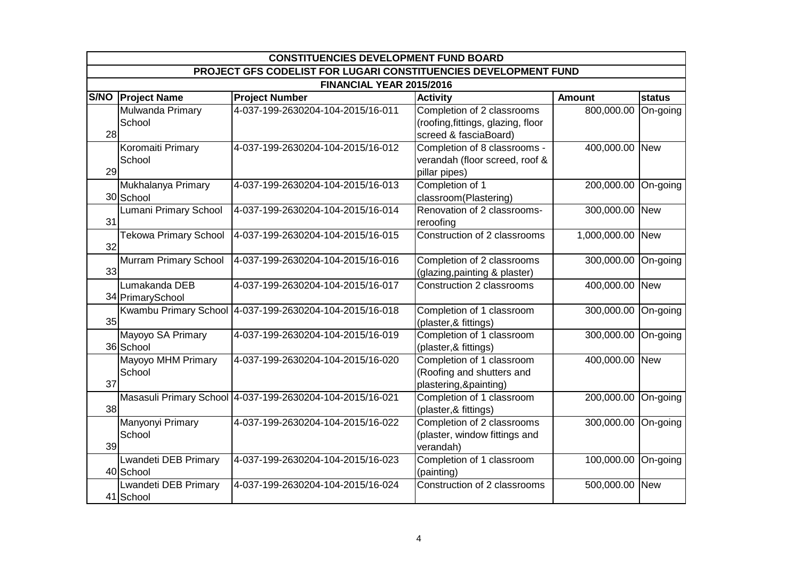|    | <b>CONSTITUENCIES DEVELOPMENT FUND BOARD</b>                    |                                                           |                                                                                           |                     |            |  |  |  |
|----|-----------------------------------------------------------------|-----------------------------------------------------------|-------------------------------------------------------------------------------------------|---------------------|------------|--|--|--|
|    | PROJECT GFS CODELIST FOR LUGARI CONSTITUENCIES DEVELOPMENT FUND |                                                           |                                                                                           |                     |            |  |  |  |
|    |                                                                 | FINANCIAL YEAR 2015/2016                                  |                                                                                           |                     |            |  |  |  |
|    | S/NO   Project Name                                             | <b>Project Number</b>                                     | <b>Activity</b>                                                                           | <b>Amount</b>       | status     |  |  |  |
| 28 | Mulwanda Primary<br>School                                      | 4-037-199-2630204-104-2015/16-011                         | Completion of 2 classrooms<br>(roofing, fittings, glazing, floor<br>screed & fasciaBoard) | 800,000.00          | On-going   |  |  |  |
| 29 | Koromaiti Primary<br>School                                     | 4-037-199-2630204-104-2015/16-012                         | Completion of 8 classrooms -<br>verandah (floor screed, roof &<br>pillar pipes)           | 400,000.00 New      |            |  |  |  |
|    | Mukhalanya Primary<br>30 School                                 | 4-037-199-2630204-104-2015/16-013                         | Completion of 1<br>classroom(Plastering)                                                  | 200,000.00          | On-going   |  |  |  |
| 31 | Lumani Primary School                                           | 4-037-199-2630204-104-2015/16-014                         | Renovation of 2 classrooms-<br>reroofing                                                  | 300,000.00          | <b>New</b> |  |  |  |
| 32 | <b>Tekowa Primary School</b>                                    | 4-037-199-2630204-104-2015/16-015                         | Construction of 2 classrooms                                                              | 1,000,000.00 New    |            |  |  |  |
| 33 | <b>Murram Primary School</b>                                    | 4-037-199-2630204-104-2015/16-016                         | Completion of 2 classrooms<br>(glazing, painting & plaster)                               | 300,000.00 On-going |            |  |  |  |
|    | Lumakanda DEB<br>34 PrimarySchool                               | 4-037-199-2630204-104-2015/16-017                         | Construction 2 classrooms                                                                 | 400,000.00 New      |            |  |  |  |
| 35 |                                                                 | Kwambu Primary School 4-037-199-2630204-104-2015/16-018   | Completion of 1 classroom<br>(plaster, & fittings)                                        | 300,000.00 On-going |            |  |  |  |
|    | Mayoyo SA Primary<br>36 School                                  | 4-037-199-2630204-104-2015/16-019                         | Completion of 1 classroom<br>(plaster,& fittings)                                         | 300,000.00 On-going |            |  |  |  |
| 37 | Mayoyo MHM Primary<br>School                                    | 4-037-199-2630204-104-2015/16-020                         | Completion of 1 classroom<br>(Roofing and shutters and<br>plastering, & painting)         | 400,000.00 New      |            |  |  |  |
| 38 |                                                                 | Masasuli Primary School 4-037-199-2630204-104-2015/16-021 | Completion of 1 classroom<br>(plaster, & fittings)                                        | 200,000.00          | On-going   |  |  |  |
| 39 | Manyonyi Primary<br>School                                      | 4-037-199-2630204-104-2015/16-022                         | Completion of 2 classrooms<br>(plaster, window fittings and<br>verandah)                  | 300,000.00 On-going |            |  |  |  |
|    | Lwandeti DEB Primary<br>40 School                               | 4-037-199-2630204-104-2015/16-023                         | Completion of 1 classroom<br>(painting)                                                   | 100,000.00 On-going |            |  |  |  |
|    | Lwandeti DEB Primary<br>41 School                               | 4-037-199-2630204-104-2015/16-024                         | Construction of 2 classrooms                                                              | 500,000.00 New      |            |  |  |  |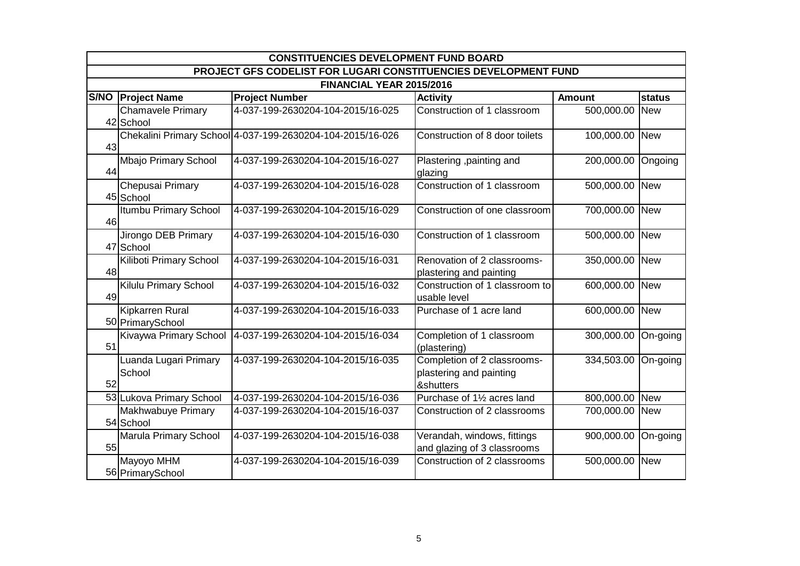|    | <b>CONSTITUENCIES DEVELOPMENT FUND BOARD</b>                    |                                                            |                                                                     |                |            |  |  |  |
|----|-----------------------------------------------------------------|------------------------------------------------------------|---------------------------------------------------------------------|----------------|------------|--|--|--|
|    | PROJECT GFS CODELIST FOR LUGARI CONSTITUENCIES DEVELOPMENT FUND |                                                            |                                                                     |                |            |  |  |  |
|    |                                                                 | FINANCIAL YEAR 2015/2016                                   |                                                                     |                |            |  |  |  |
|    | S/NO   Project Name                                             | <b>Project Number</b>                                      | <b>Activity</b>                                                     | <b>Amount</b>  | status     |  |  |  |
|    | <b>Chamavele Primary</b><br>42 School                           | 4-037-199-2630204-104-2015/16-025                          | Construction of 1 classroom                                         | 500,000.00     | <b>New</b> |  |  |  |
| 43 |                                                                 | Chekalini Primary School 4-037-199-2630204-104-2015/16-026 | Construction of 8 door toilets                                      | 100,000.00 New |            |  |  |  |
| 44 | Mbajo Primary School                                            | 4-037-199-2630204-104-2015/16-027                          | Plastering , painting and<br>glazing                                | 200,000.00     | Ongoing    |  |  |  |
|    | Chepusai Primary<br>45 School                                   | 4-037-199-2630204-104-2015/16-028                          | Construction of 1 classroom                                         | 500,000.00 New |            |  |  |  |
| 46 | Itumbu Primary School                                           | 4-037-199-2630204-104-2015/16-029                          | Construction of one classroom                                       | 700,000.00 New |            |  |  |  |
|    | Jirongo DEB Primary<br>47 School                                | 4-037-199-2630204-104-2015/16-030                          | Construction of 1 classroom                                         | 500,000.00     | <b>New</b> |  |  |  |
| 48 | Kiliboti Primary School                                         | 4-037-199-2630204-104-2015/16-031                          | Renovation of 2 classrooms-<br>plastering and painting              | 350,000.00     | <b>New</b> |  |  |  |
| 49 | Kilulu Primary School                                           | 4-037-199-2630204-104-2015/16-032                          | Construction of 1 classroom to<br>usable level                      | 600,000.00 New |            |  |  |  |
|    | Kipkarren Rural<br>50 PrimarySchool                             | 4-037-199-2630204-104-2015/16-033                          | Purchase of 1 acre land                                             | 600,000.00     | New        |  |  |  |
| 51 | Kivaywa Primary School                                          | 4-037-199-2630204-104-2015/16-034                          | Completion of 1 classroom<br>(plastering)                           | 300,000.00     | On-going   |  |  |  |
| 52 | Luanda Lugari Primary<br>School                                 | 4-037-199-2630204-104-2015/16-035                          | Completion of 2 classrooms-<br>plastering and painting<br>&shutters | 334,503.00     | On-going   |  |  |  |
|    | 53 Lukova Primary School                                        | 4-037-199-2630204-104-2015/16-036                          | Purchase of 11/2 acres land                                         | 800,000.00     | <b>New</b> |  |  |  |
|    | Makhwabuye Primary<br>54 School                                 | 4-037-199-2630204-104-2015/16-037                          | Construction of 2 classrooms                                        | 700,000.00 New |            |  |  |  |
| 55 | Marula Primary School                                           | 4-037-199-2630204-104-2015/16-038                          | Verandah, windows, fittings<br>and glazing of 3 classrooms          | 900,000.00     | On-going   |  |  |  |
|    | Mayoyo MHM<br>56 Primary School                                 | 4-037-199-2630204-104-2015/16-039                          | Construction of 2 classrooms                                        | 500,000.00     | <b>New</b> |  |  |  |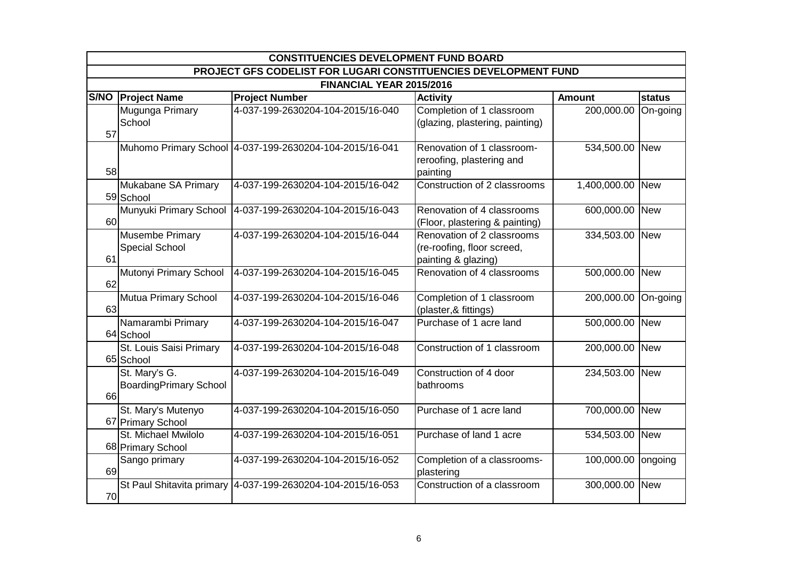|    | <b>CONSTITUENCIES DEVELOPMENT FUND BOARD</b>                    |                                                             |                                                                                 |                     |            |  |  |  |
|----|-----------------------------------------------------------------|-------------------------------------------------------------|---------------------------------------------------------------------------------|---------------------|------------|--|--|--|
|    | PROJECT GFS CODELIST FOR LUGARI CONSTITUENCIES DEVELOPMENT FUND |                                                             |                                                                                 |                     |            |  |  |  |
|    |                                                                 | FINANCIAL YEAR 2015/2016                                    |                                                                                 |                     |            |  |  |  |
|    | S/NO   Project Name                                             | <b>Project Number</b>                                       | <b>Activity</b>                                                                 | <b>Amount</b>       | status     |  |  |  |
| 57 | Mugunga Primary<br>School                                       | 4-037-199-2630204-104-2015/16-040                           | Completion of 1 classroom<br>(glazing, plastering, painting)                    | 200,000.00          | On-going   |  |  |  |
| 58 |                                                                 | Muhomo Primary School 4-037-199-2630204-104-2015/16-041     | Renovation of 1 classroom-<br>reroofing, plastering and<br>painting             | 534,500.00 New      |            |  |  |  |
|    | Mukabane SA Primary<br>59 School                                | 4-037-199-2630204-104-2015/16-042                           | Construction of 2 classrooms                                                    | 1,400,000.00        | <b>New</b> |  |  |  |
| 60 | Munyuki Primary School                                          | 4-037-199-2630204-104-2015/16-043                           | Renovation of 4 classrooms<br>(Floor, plastering & painting)                    | 600,000.00          | <b>New</b> |  |  |  |
| 61 | Musembe Primary<br><b>Special School</b>                        | 4-037-199-2630204-104-2015/16-044                           | Renovation of 2 classrooms<br>(re-roofing, floor screed,<br>painting & glazing) | 334,503.00 New      |            |  |  |  |
| 62 | Mutonyi Primary School                                          | 4-037-199-2630204-104-2015/16-045                           | Renovation of 4 classrooms                                                      | 500,000.00 New      |            |  |  |  |
| 63 | <b>Mutua Primary School</b>                                     | 4-037-199-2630204-104-2015/16-046                           | Completion of 1 classroom<br>(plaster,& fittings)                               | 200,000.00 On-going |            |  |  |  |
|    | Namarambi Primary<br>64 School                                  | 4-037-199-2630204-104-2015/16-047                           | Purchase of 1 acre land                                                         | 500,000.00 New      |            |  |  |  |
|    | St. Louis Saisi Primary<br>65 School                            | 4-037-199-2630204-104-2015/16-048                           | Construction of 1 classroom                                                     | 200,000.00 New      |            |  |  |  |
| 66 | St. Mary's G.<br><b>BoardingPrimary School</b>                  | 4-037-199-2630204-104-2015/16-049                           | Construction of 4 door<br>bathrooms                                             | 234,503.00 New      |            |  |  |  |
|    | St. Mary's Mutenyo<br>67 Primary School                         | 4-037-199-2630204-104-2015/16-050                           | Purchase of 1 acre land                                                         | 700,000.00          | <b>New</b> |  |  |  |
|    | St. Michael Mwilolo<br>68 Primary School                        | 4-037-199-2630204-104-2015/16-051                           | Purchase of land 1 acre                                                         | 534,503.00 New      |            |  |  |  |
| 69 | Sango primary                                                   | 4-037-199-2630204-104-2015/16-052                           | Completion of a classrooms-<br>plastering                                       | 100,000.00 ongoing  |            |  |  |  |
| 70 |                                                                 | St Paul Shitavita primary 4-037-199-2630204-104-2015/16-053 | Construction of a classroom                                                     | 300,000.00 New      |            |  |  |  |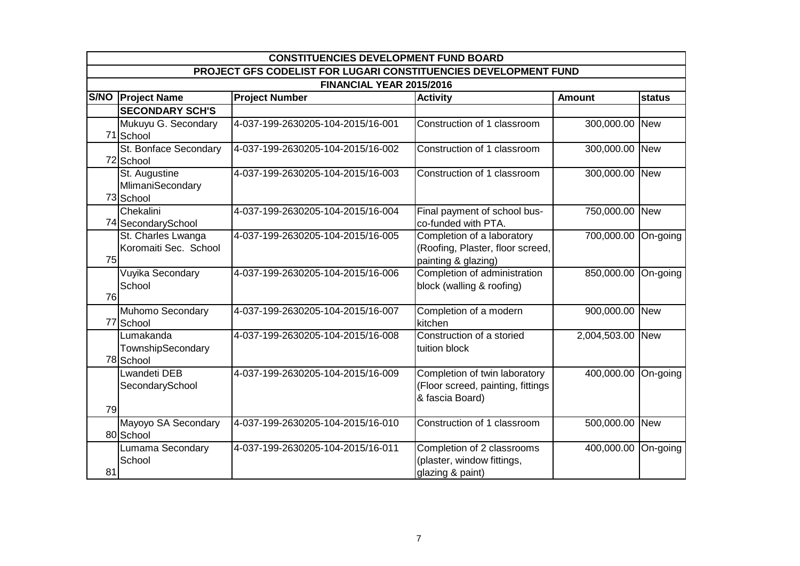|    | <b>CONSTITUENCIES DEVELOPMENT FUND BOARD</b>                    |                                   |                                                                                       |                |            |  |  |  |  |
|----|-----------------------------------------------------------------|-----------------------------------|---------------------------------------------------------------------------------------|----------------|------------|--|--|--|--|
|    | PROJECT GFS CODELIST FOR LUGARI CONSTITUENCIES DEVELOPMENT FUND |                                   |                                                                                       |                |            |  |  |  |  |
|    | FINANCIAL YEAR 2015/2016                                        |                                   |                                                                                       |                |            |  |  |  |  |
|    | S/NO   Project Name                                             | <b>Project Number</b>             | <b>Activity</b>                                                                       | <b>Amount</b>  | status     |  |  |  |  |
|    | <b>SECONDARY SCH'S</b>                                          |                                   |                                                                                       |                |            |  |  |  |  |
|    | Mukuyu G. Secondary<br>71 School                                | 4-037-199-2630205-104-2015/16-001 | Construction of 1 classroom                                                           | 300,000.00     | <b>New</b> |  |  |  |  |
|    | St. Bonface Secondary<br>72 School                              | 4-037-199-2630205-104-2015/16-002 | Construction of 1 classroom                                                           | 300,000.00 New |            |  |  |  |  |
|    | St. Augustine<br>MlimaniSecondary<br>73 School                  | 4-037-199-2630205-104-2015/16-003 | Construction of 1 classroom                                                           | 300,000.00     | <b>New</b> |  |  |  |  |
|    | Chekalini<br>74 Secondary School                                | 4-037-199-2630205-104-2015/16-004 | Final payment of school bus-<br>co-funded with PTA.                                   | 750,000.00     | <b>New</b> |  |  |  |  |
| 75 | St. Charles Lwanga<br>Koromaiti Sec. School                     | 4-037-199-2630205-104-2015/16-005 | Completion of a laboratory<br>(Roofing, Plaster, floor screed,<br>painting & glazing) | 700,000.00     | On-going   |  |  |  |  |
| 76 | Vuyika Secondary<br>School                                      | 4-037-199-2630205-104-2015/16-006 | Completion of administration<br>block (walling & roofing)                             | 850,000.00     | On-going   |  |  |  |  |
|    | Muhomo Secondary<br>77 School                                   | 4-037-199-2630205-104-2015/16-007 | Completion of a modern<br>kitchen                                                     | 900,000.00     | <b>New</b> |  |  |  |  |
|    | Lumakanda<br>TownshipSecondary<br>78 School                     | 4-037-199-2630205-104-2015/16-008 | Construction of a storied<br>tuition block                                            | 2,004,503.00   | <b>New</b> |  |  |  |  |
| 79 | <b>Lwandeti DEB</b><br>SecondarySchool                          | 4-037-199-2630205-104-2015/16-009 | Completion of twin laboratory<br>(Floor screed, painting, fittings<br>& fascia Board) | 400,000.00     | On-going   |  |  |  |  |
|    | Mayoyo SA Secondary<br>80 School                                | 4-037-199-2630205-104-2015/16-010 | Construction of 1 classroom                                                           | 500,000.00 New |            |  |  |  |  |
| 81 | Lumama Secondary<br>School                                      | 4-037-199-2630205-104-2015/16-011 | Completion of 2 classrooms<br>(plaster, window fittings,<br>glazing & paint)          | 400,000.00     | On-going   |  |  |  |  |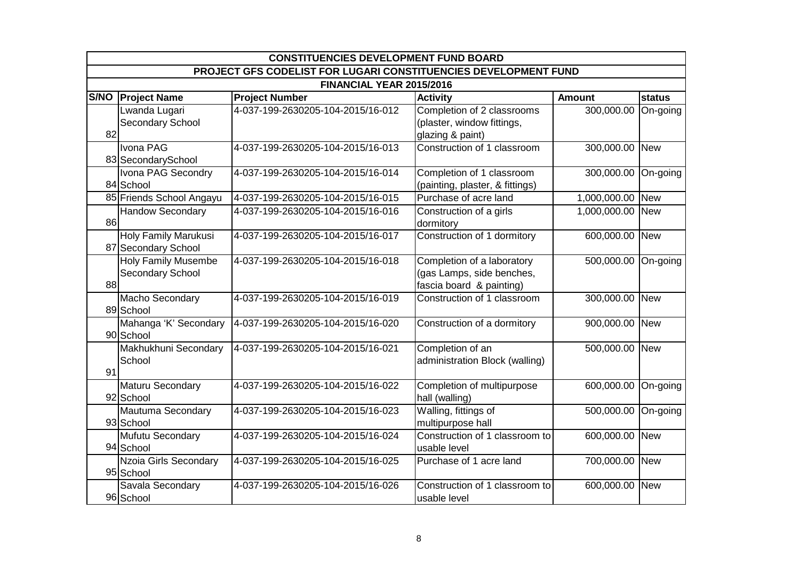|    | <b>CONSTITUENCIES DEVELOPMENT FUND BOARD</b>                    |                                   |                                                                                     |                     |            |  |  |  |
|----|-----------------------------------------------------------------|-----------------------------------|-------------------------------------------------------------------------------------|---------------------|------------|--|--|--|
|    | PROJECT GFS CODELIST FOR LUGARI CONSTITUENCIES DEVELOPMENT FUND |                                   |                                                                                     |                     |            |  |  |  |
|    |                                                                 | FINANCIAL YEAR 2015/2016          |                                                                                     |                     |            |  |  |  |
|    | S/NO   Project Name                                             | <b>Project Number</b>             | <b>Activity</b>                                                                     | <b>Amount</b>       | status     |  |  |  |
| 82 | Lwanda Lugari<br>Secondary School                               | 4-037-199-2630205-104-2015/16-012 | Completion of 2 classrooms<br>(plaster, window fittings,<br>glazing & paint)        | 300,000.00          | On-going   |  |  |  |
|    | Ivona PAG<br>83 SecondarySchool                                 | 4-037-199-2630205-104-2015/16-013 | Construction of 1 classroom                                                         | 300,000.00 New      |            |  |  |  |
|    | Ivona PAG Secondry<br>84 School                                 | 4-037-199-2630205-104-2015/16-014 | Completion of 1 classroom<br>(painting, plaster, & fittings)                        | 300,000.00          | On-going   |  |  |  |
|    | 85 Friends School Angayu                                        | 4-037-199-2630205-104-2015/16-015 | Purchase of acre land                                                               | 1,000,000.00        | <b>New</b> |  |  |  |
| 86 | <b>Handow Secondary</b>                                         | 4-037-199-2630205-104-2015/16-016 | Construction of a girls<br>dormitory                                                | 1,000,000.00        | <b>New</b> |  |  |  |
|    | <b>Holy Family Marukusi</b><br>87 Secondary School              | 4-037-199-2630205-104-2015/16-017 | Construction of 1 dormitory                                                         | 600,000.00 New      |            |  |  |  |
| 88 | <b>Holy Family Musembe</b><br><b>Secondary School</b>           | 4-037-199-2630205-104-2015/16-018 | Completion of a laboratory<br>(gas Lamps, side benches,<br>fascia board & painting) | 500,000.00 On-going |            |  |  |  |
|    | Macho Secondary<br>89 School                                    | 4-037-199-2630205-104-2015/16-019 | Construction of 1 classroom                                                         | 300,000.00 New      |            |  |  |  |
|    | Mahanga 'K' Secondary<br>90 School                              | 4-037-199-2630205-104-2015/16-020 | Construction of a dormitory                                                         | 900,000.00 New      |            |  |  |  |
| 91 | Makhukhuni Secondary<br>School                                  | 4-037-199-2630205-104-2015/16-021 | Completion of an<br>administration Block (walling)                                  | 500,000.00 New      |            |  |  |  |
|    | Maturu Secondary<br>92 School                                   | 4-037-199-2630205-104-2015/16-022 | Completion of multipurpose<br>hall (walling)                                        | 600,000.00          | On-going   |  |  |  |
|    | Mautuma Secondary<br>93 School                                  | 4-037-199-2630205-104-2015/16-023 | Walling, fittings of<br>multipurpose hall                                           | 500,000.00          | On-going   |  |  |  |
|    | Mufutu Secondary<br>94 School                                   | 4-037-199-2630205-104-2015/16-024 | Construction of 1 classroom to<br>usable level                                      | 600,000.00 New      |            |  |  |  |
|    | Nzoia Girls Secondary<br>95 School                              | 4-037-199-2630205-104-2015/16-025 | Purchase of 1 acre land                                                             | 700,000.00 New      |            |  |  |  |
|    | Savala Secondary<br>96 School                                   | 4-037-199-2630205-104-2015/16-026 | Construction of 1 classroom to<br>usable level                                      | 600,000.00 New      |            |  |  |  |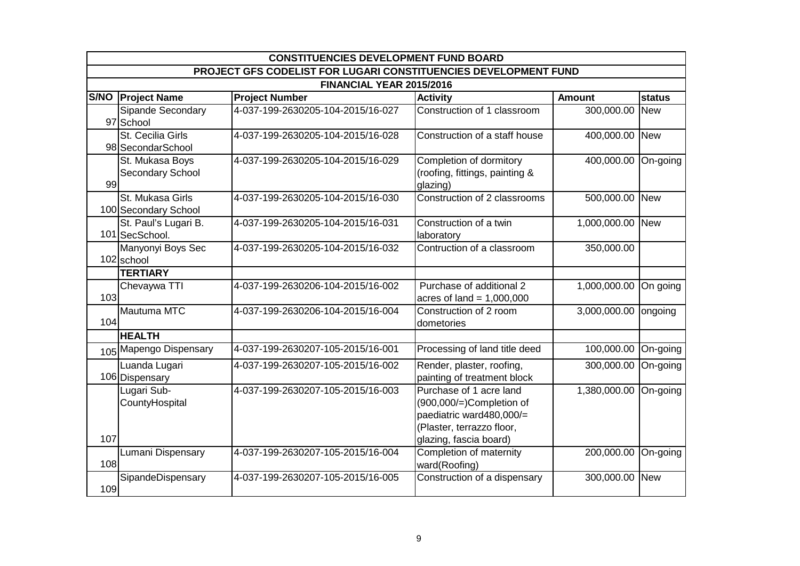|     | <b>CONSTITUENCIES DEVELOPMENT FUND BOARD</b>                    |                                   |                                                                                                                                           |                       |            |  |  |  |
|-----|-----------------------------------------------------------------|-----------------------------------|-------------------------------------------------------------------------------------------------------------------------------------------|-----------------------|------------|--|--|--|
|     | PROJECT GFS CODELIST FOR LUGARI CONSTITUENCIES DEVELOPMENT FUND |                                   |                                                                                                                                           |                       |            |  |  |  |
|     |                                                                 | FINANCIAL YEAR 2015/2016          |                                                                                                                                           |                       |            |  |  |  |
|     | S/NO   Project Name                                             | <b>Project Number</b>             | <b>Activity</b>                                                                                                                           | Amount                | status     |  |  |  |
|     | Sipande Secondary<br>97 School                                  | 4-037-199-2630205-104-2015/16-027 | Construction of 1 classroom                                                                                                               | 300,000.00 New        |            |  |  |  |
|     | St. Cecilia Girls<br>98 SecondarSchool                          | 4-037-199-2630205-104-2015/16-028 | Construction of a staff house                                                                                                             | 400,000.00            | <b>New</b> |  |  |  |
| 99  | St. Mukasa Boys<br>Secondary School                             | 4-037-199-2630205-104-2015/16-029 | Completion of dormitory<br>(roofing, fittings, painting &<br>glazing)                                                                     | 400,000.00            | On-going   |  |  |  |
|     | St. Mukasa Girls<br>100 Secondary School                        | 4-037-199-2630205-104-2015/16-030 | Construction of 2 classrooms                                                                                                              | 500,000.00 New        |            |  |  |  |
|     | St. Paul's Lugari B.<br>101 SecSchool.                          | 4-037-199-2630205-104-2015/16-031 | Construction of a twin<br>laboratory                                                                                                      | 1,000,000.00 New      |            |  |  |  |
|     | Manyonyi Boys Sec<br>102 school                                 | 4-037-199-2630205-104-2015/16-032 | Contruction of a classroom                                                                                                                | 350,000.00            |            |  |  |  |
|     | <b>TERTIARY</b>                                                 |                                   |                                                                                                                                           |                       |            |  |  |  |
| 103 | Chevaywa TTI                                                    | 4-037-199-2630206-104-2015/16-002 | Purchase of additional 2<br>acres of land = $1,000,000$                                                                                   | 1,000,000.00 On going |            |  |  |  |
| 104 | Mautuma MTC                                                     | 4-037-199-2630206-104-2015/16-004 | Construction of 2 room<br>dometories                                                                                                      | 3,000,000.00 ongoing  |            |  |  |  |
|     | <b>HEALTH</b>                                                   |                                   |                                                                                                                                           |                       |            |  |  |  |
|     | 105 Mapengo Dispensary                                          | 4-037-199-2630207-105-2015/16-001 | Processing of land title deed                                                                                                             | 100,000.00 On-going   |            |  |  |  |
|     | Luanda Lugari<br>106 Dispensary                                 | 4-037-199-2630207-105-2015/16-002 | Render, plaster, roofing,<br>painting of treatment block                                                                                  | 300,000.00 On-going   |            |  |  |  |
| 107 | Lugari Sub-<br>CountyHospital                                   | 4-037-199-2630207-105-2015/16-003 | Purchase of 1 acre land<br>$(900,000/)=$ Completion of<br>paediatric ward480,000/=<br>(Plaster, terrazzo floor,<br>glazing, fascia board) | 1,380,000.00 On-going |            |  |  |  |
| 108 | Lumani Dispensary                                               | 4-037-199-2630207-105-2015/16-004 | Completion of maternity<br>ward(Roofing)                                                                                                  | 200,000.00 On-going   |            |  |  |  |
| 109 | SipandeDispensary                                               | 4-037-199-2630207-105-2015/16-005 | Construction of a dispensary                                                                                                              | 300,000.00 New        |            |  |  |  |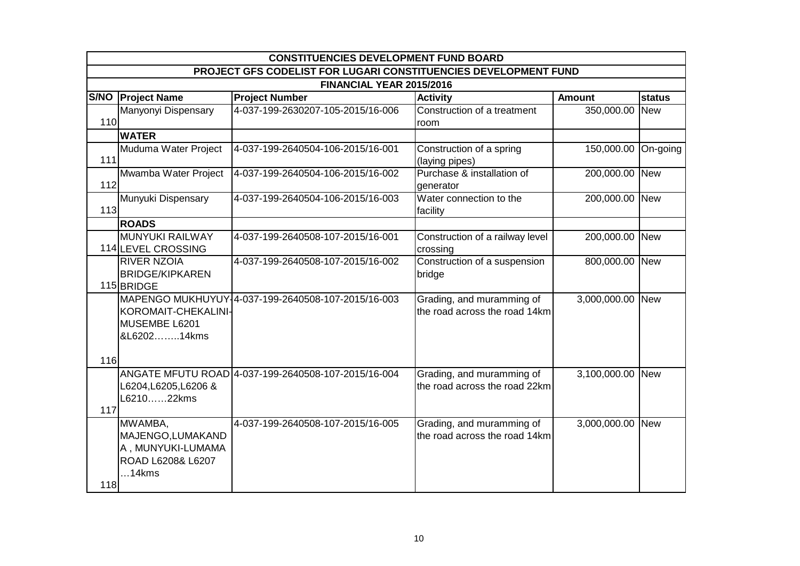|     | <b>CONSTITUENCIES DEVELOPMENT FUND BOARD</b>                                       |                                                     |                                                            |                  |               |  |  |  |
|-----|------------------------------------------------------------------------------------|-----------------------------------------------------|------------------------------------------------------------|------------------|---------------|--|--|--|
|     | PROJECT GFS CODELIST FOR LUGARI CONSTITUENCIES DEVELOPMENT FUND                    |                                                     |                                                            |                  |               |  |  |  |
|     |                                                                                    | FINANCIAL YEAR 2015/2016                            |                                                            |                  |               |  |  |  |
|     | S/NO   Project Name                                                                | <b>Project Number</b>                               | <b>Activity</b>                                            | <b>Amount</b>    | <b>status</b> |  |  |  |
| 110 | Manyonyi Dispensary                                                                | 4-037-199-2630207-105-2015/16-006                   | Construction of a treatment<br>room                        | 350,000.00       | <b>New</b>    |  |  |  |
|     | <b>WATER</b>                                                                       |                                                     |                                                            |                  |               |  |  |  |
| 111 | Muduma Water Project                                                               | 4-037-199-2640504-106-2015/16-001                   | Construction of a spring<br>(laying pipes)                 | 150,000.00       | On-going      |  |  |  |
| 112 | Mwamba Water Project                                                               | 4-037-199-2640504-106-2015/16-002                   | Purchase & installation of<br>generator                    | 200,000.00 New   |               |  |  |  |
| 113 | Munyuki Dispensary                                                                 | 4-037-199-2640504-106-2015/16-003                   | Water connection to the<br>facility                        | 200,000.00 New   |               |  |  |  |
|     | <b>ROADS</b>                                                                       |                                                     |                                                            |                  |               |  |  |  |
|     | MUNYUKI RAILWAY<br>114 LEVEL CROSSING                                              | 4-037-199-2640508-107-2015/16-001                   | Construction of a railway level<br>crossing                | 200,000.00 New   |               |  |  |  |
|     | <b>RIVER NZOIA</b><br><b>BRIDGE/KIPKAREN</b><br>115BRIDGE                          | 4-037-199-2640508-107-2015/16-002                   | Construction of a suspension<br>bridge                     | 800,000.00 New   |               |  |  |  |
|     | KOROMAIT-CHEKALINI-<br>MUSEMBE L6201<br>&L620214kms                                | MAPENGO MUKHUYUY-4-037-199-2640508-107-2015/16-003  | Grading, and muramming of<br>the road across the road 14km | 3,000,000.00 New |               |  |  |  |
| 116 |                                                                                    |                                                     |                                                            |                  |               |  |  |  |
| 117 | L6204, L6205, L6206 &<br>L621022kms                                                | ANGATE MFUTU ROAD 4-037-199-2640508-107-2015/16-004 | Grading, and muramming of<br>the road across the road 22km | 3,100,000.00 New |               |  |  |  |
| 118 | MWAMBA,<br>MAJENGO, LUMAKAND<br>A, MUNYUKI-LUMAMA<br>ROAD L6208& L6207<br>$14$ kms | 4-037-199-2640508-107-2015/16-005                   | Grading, and muramming of<br>the road across the road 14km | 3,000,000.00     | <b>New</b>    |  |  |  |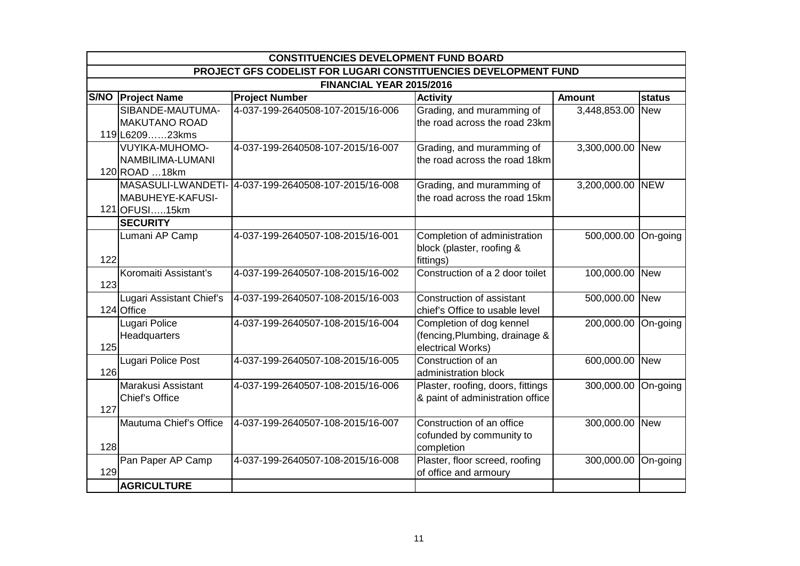|     | <b>CONSTITUENCIES DEVELOPMENT FUND BOARD</b>                    |                                   |                                                                                 |                     |               |  |  |  |
|-----|-----------------------------------------------------------------|-----------------------------------|---------------------------------------------------------------------------------|---------------------|---------------|--|--|--|
|     | PROJECT GFS CODELIST FOR LUGARI CONSTITUENCIES DEVELOPMENT FUND |                                   |                                                                                 |                     |               |  |  |  |
|     |                                                                 | FINANCIAL YEAR 2015/2016          |                                                                                 |                     |               |  |  |  |
|     | S/NO   Project Name                                             | <b>Project Number</b>             | <b>Activity</b>                                                                 | <b>Amount</b>       | <b>status</b> |  |  |  |
|     | SIBANDE-MAUTUMA-<br><b>MAKUTANO ROAD</b>                        | 4-037-199-2640508-107-2015/16-006 | Grading, and muramming of<br>the road across the road 23km                      | 3,448,853.00        | <b>New</b>    |  |  |  |
|     | 119 L620923kms                                                  |                                   |                                                                                 |                     |               |  |  |  |
|     | <b>VUYIKA-MUHOMO-</b><br>NAMBILIMA-LUMANI<br>120 ROAD  18km     | 4-037-199-2640508-107-2015/16-007 | Grading, and muramming of<br>the road across the road 18km                      | 3,300,000.00 New    |               |  |  |  |
|     | MASASULI-LWANDETI-<br>MABUHEYE-KAFUSI-<br>121 OFUSI15km         | 4-037-199-2640508-107-2015/16-008 | Grading, and muramming of<br>the road across the road 15km                      | 3,200,000.00 NEW    |               |  |  |  |
|     | <b>SECURITY</b>                                                 |                                   |                                                                                 |                     |               |  |  |  |
| 122 | Lumani AP Camp                                                  | 4-037-199-2640507-108-2015/16-001 | Completion of administration<br>block (plaster, roofing &<br>fittings)          | 500,000.00 On-going |               |  |  |  |
| 123 | Koromaiti Assistant's                                           | 4-037-199-2640507-108-2015/16-002 | Construction of a 2 door toilet                                                 | 100,000.00 New      |               |  |  |  |
|     | Lugari Assistant Chief's<br>124 Office                          | 4-037-199-2640507-108-2015/16-003 | Construction of assistant<br>chief's Office to usable level                     | 500,000.00 New      |               |  |  |  |
| 125 | Lugari Police<br>Headquarters                                   | 4-037-199-2640507-108-2015/16-004 | Completion of dog kennel<br>(fencing, Plumbing, drainage &<br>electrical Works) | 200,000.00          | On-going      |  |  |  |
| 126 | Lugari Police Post                                              | 4-037-199-2640507-108-2015/16-005 | Construction of an<br>administration block                                      | 600,000.00 New      |               |  |  |  |
| 127 | Marakusi Assistant<br>Chief's Office                            | 4-037-199-2640507-108-2015/16-006 | Plaster, roofing, doors, fittings<br>& paint of administration office           | 300,000.00 On-going |               |  |  |  |
| 128 | Mautuma Chief's Office                                          | 4-037-199-2640507-108-2015/16-007 | Construction of an office<br>cofunded by community to<br>completion             | 300,000.00 New      |               |  |  |  |
| 129 | Pan Paper AP Camp                                               | 4-037-199-2640507-108-2015/16-008 | Plaster, floor screed, roofing<br>of office and armoury                         | 300,000.00 On-going |               |  |  |  |
|     | <b>AGRICULTURE</b>                                              |                                   |                                                                                 |                     |               |  |  |  |